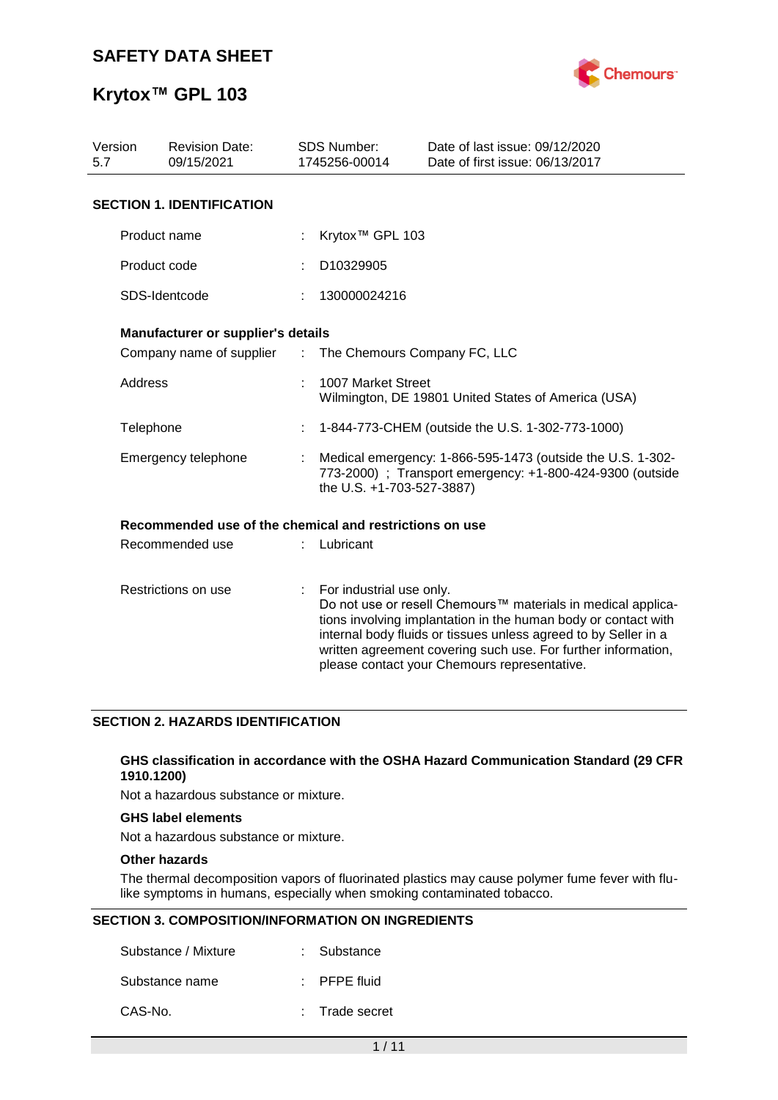

## **Krytox™ GPL 103**

| Version<br>5.7 | <b>Revision Date:</b><br>09/15/2021                     |    | <b>SDS Number:</b><br>1745256-00014                                                                                                                  | Date of last issue: 09/12/2020<br>Date of first issue: 06/13/2017                                                                                                                                                                                                                                                  |
|----------------|---------------------------------------------------------|----|------------------------------------------------------------------------------------------------------------------------------------------------------|--------------------------------------------------------------------------------------------------------------------------------------------------------------------------------------------------------------------------------------------------------------------------------------------------------------------|
|                | <b>SECTION 1. IDENTIFICATION</b>                        |    |                                                                                                                                                      |                                                                                                                                                                                                                                                                                                                    |
|                | Product name                                            |    | Krytox <sup>™</sup> GPL 103                                                                                                                          |                                                                                                                                                                                                                                                                                                                    |
|                | Product code                                            |    | D10329905                                                                                                                                            |                                                                                                                                                                                                                                                                                                                    |
|                | SDS-Identcode                                           |    | 130000024216                                                                                                                                         |                                                                                                                                                                                                                                                                                                                    |
|                | Manufacturer or supplier's details                      |    |                                                                                                                                                      |                                                                                                                                                                                                                                                                                                                    |
|                | Company name of supplier : The Chemours Company FC, LLC |    |                                                                                                                                                      |                                                                                                                                                                                                                                                                                                                    |
| <b>Address</b> |                                                         |    | 1007 Market Street                                                                                                                                   | Wilmington, DE 19801 United States of America (USA)                                                                                                                                                                                                                                                                |
| Telephone      |                                                         |    |                                                                                                                                                      | 1-844-773-CHEM (outside the U.S. 1-302-773-1000)                                                                                                                                                                                                                                                                   |
|                | Emergency telephone                                     |    | Medical emergency: 1-866-595-1473 (outside the U.S. 1-302-<br>773-2000) ; Transport emergency: +1-800-424-9300 (outside<br>the U.S. +1-703-527-3887) |                                                                                                                                                                                                                                                                                                                    |
|                | Recommended use of the chemical and restrictions on use |    |                                                                                                                                                      |                                                                                                                                                                                                                                                                                                                    |
|                | Recommended use                                         |    | Lubricant                                                                                                                                            |                                                                                                                                                                                                                                                                                                                    |
|                | Restrictions on use                                     | ÷. | For industrial use only.                                                                                                                             | Do not use or resell Chemours™ materials in medical applica-<br>tions involving implantation in the human body or contact with<br>internal body fluids or tissues unless agreed to by Seller in a<br>written agreement covering such use. For further information,<br>please contact your Chemours representative. |

## **SECTION 2. HAZARDS IDENTIFICATION**

### **GHS classification in accordance with the OSHA Hazard Communication Standard (29 CFR 1910.1200)**

Not a hazardous substance or mixture.

## **GHS label elements**

Not a hazardous substance or mixture.

### **Other hazards**

The thermal decomposition vapors of fluorinated plastics may cause polymer fume fever with flulike symptoms in humans, especially when smoking contaminated tobacco.

### **SECTION 3. COMPOSITION/INFORMATION ON INGREDIENTS**

| Substance / Mixture | : Substance             |
|---------------------|-------------------------|
| Substance name      | $\therefore$ PFPE fluid |
| CAS-No.             | : Trade secret          |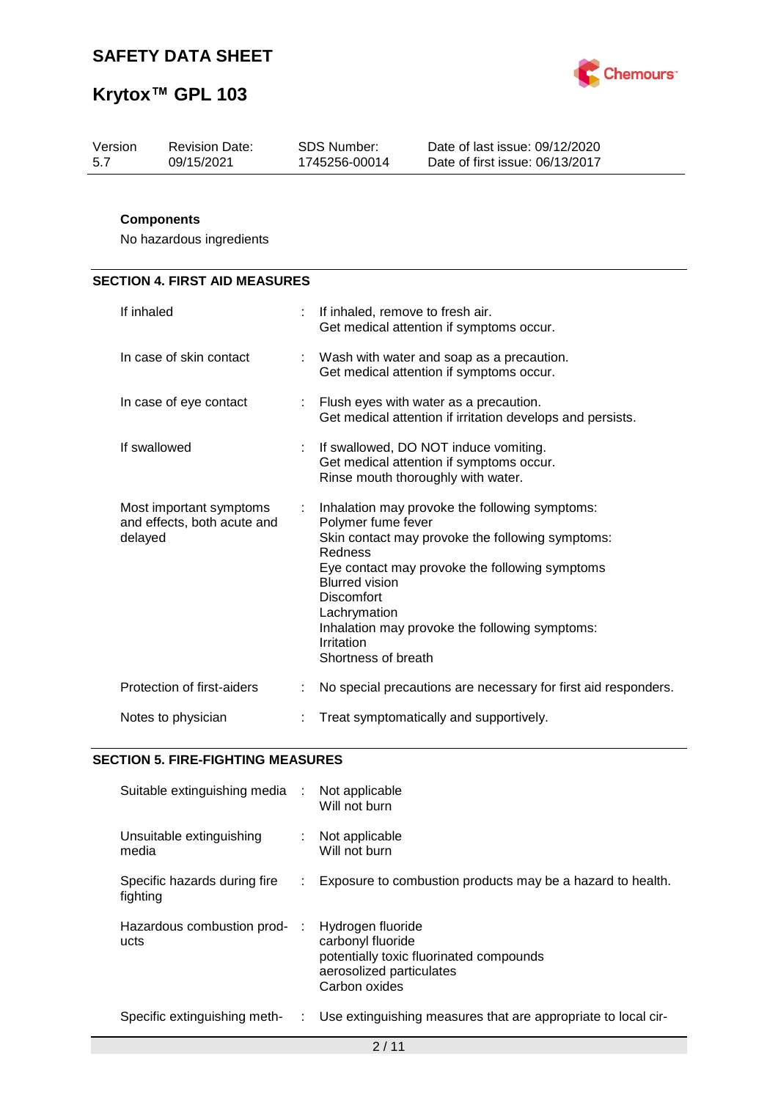

| Version | <b>Revision Date:</b> | SDS Number:   | Date of last issue: 09/12/2020  |
|---------|-----------------------|---------------|---------------------------------|
| -5.7    | 09/15/2021            | 1745256-00014 | Date of first issue: 06/13/2017 |
|         |                       |               |                                 |

## **Components**

No hazardous ingredients

## **SECTION 4. FIRST AID MEASURES**

| If inhaled                                                        |    | If inhaled, remove to fresh air.<br>Get medical attention if symptoms occur.                                                                                                                                                                                                                                                               |
|-------------------------------------------------------------------|----|--------------------------------------------------------------------------------------------------------------------------------------------------------------------------------------------------------------------------------------------------------------------------------------------------------------------------------------------|
| In case of skin contact                                           | ÷. | Wash with water and soap as a precaution.<br>Get medical attention if symptoms occur.                                                                                                                                                                                                                                                      |
| In case of eye contact                                            |    | : Flush eyes with water as a precaution.<br>Get medical attention if irritation develops and persists.                                                                                                                                                                                                                                     |
| If swallowed                                                      | ÷. | If swallowed, DO NOT induce vomiting.<br>Get medical attention if symptoms occur.<br>Rinse mouth thoroughly with water.                                                                                                                                                                                                                    |
| Most important symptoms<br>and effects, both acute and<br>delayed | ÷  | Inhalation may provoke the following symptoms:<br>Polymer fume fever<br>Skin contact may provoke the following symptoms:<br>Redness<br>Eye contact may provoke the following symptoms<br><b>Blurred vision</b><br><b>Discomfort</b><br>Lachrymation<br>Inhalation may provoke the following symptoms:<br>Irritation<br>Shortness of breath |
| Protection of first-aiders                                        |    | No special precautions are necessary for first aid responders.                                                                                                                                                                                                                                                                             |
| Notes to physician                                                |    | Treat symptomatically and supportively.                                                                                                                                                                                                                                                                                                    |

### **SECTION 5. FIRE-FIGHTING MEASURES**

| Suitable extinguishing media :           |    | Not applicable<br>Will not burn                                                                                                |
|------------------------------------------|----|--------------------------------------------------------------------------------------------------------------------------------|
| Unsuitable extinguishing<br>media        | t. | Not applicable<br>Will not burn                                                                                                |
| Specific hazards during fire<br>fighting |    | Exposure to combustion products may be a hazard to health.                                                                     |
| Hazardous combustion prod-<br>ucts       |    | Hydrogen fluoride<br>carbonyl fluoride<br>potentially toxic fluorinated compounds<br>aerosolized particulates<br>Carbon oxides |
| Specific extinguishing meth-             | t. | Use extinguishing measures that are appropriate to local cir-                                                                  |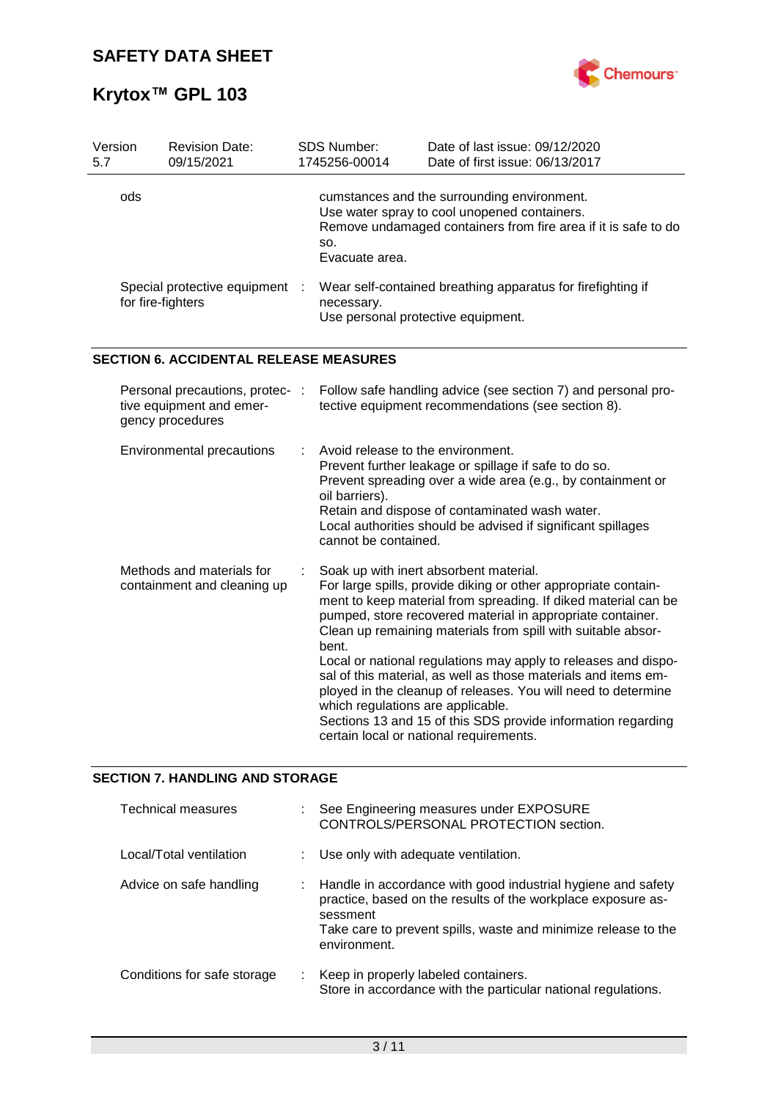

| Version<br>5.7 | <b>Revision Date:</b><br>09/15/2021                                             | SDS Number:<br>1745256-00014                                                | Date of last issue: 09/12/2020<br>Date of first issue: 06/13/2017                                                                                                                                                                                                                                                                                                                                                                                                                                                                                                                                                        |
|----------------|---------------------------------------------------------------------------------|-----------------------------------------------------------------------------|--------------------------------------------------------------------------------------------------------------------------------------------------------------------------------------------------------------------------------------------------------------------------------------------------------------------------------------------------------------------------------------------------------------------------------------------------------------------------------------------------------------------------------------------------------------------------------------------------------------------------|
| ods            |                                                                                 | SO.<br>Evacuate area.                                                       | cumstances and the surrounding environment.<br>Use water spray to cool unopened containers.<br>Remove undamaged containers from fire area if it is safe to do                                                                                                                                                                                                                                                                                                                                                                                                                                                            |
|                | Special protective equipment<br>for fire-fighters                               | necessary.<br>Use personal protective equipment.                            | Wear self-contained breathing apparatus for firefighting if                                                                                                                                                                                                                                                                                                                                                                                                                                                                                                                                                              |
|                | <b>SECTION 6. ACCIDENTAL RELEASE MEASURES</b>                                   |                                                                             |                                                                                                                                                                                                                                                                                                                                                                                                                                                                                                                                                                                                                          |
|                | Personal precautions, protec- :<br>tive equipment and emer-<br>gency procedures |                                                                             | Follow safe handling advice (see section 7) and personal pro-<br>tective equipment recommendations (see section 8).                                                                                                                                                                                                                                                                                                                                                                                                                                                                                                      |
|                | Environmental precautions                                                       | Avoid release to the environment.<br>oil barriers).<br>cannot be contained. | Prevent further leakage or spillage if safe to do so.<br>Prevent spreading over a wide area (e.g., by containment or<br>Retain and dispose of contaminated wash water.<br>Local authorities should be advised if significant spillages                                                                                                                                                                                                                                                                                                                                                                                   |
|                | Methods and materials for<br>containment and cleaning up                        | bent.<br>which regulations are applicable.                                  | Soak up with inert absorbent material.<br>For large spills, provide diking or other appropriate contain-<br>ment to keep material from spreading. If diked material can be<br>pumped, store recovered material in appropriate container.<br>Clean up remaining materials from spill with suitable absor-<br>Local or national regulations may apply to releases and dispo-<br>sal of this material, as well as those materials and items em-<br>ployed in the cleanup of releases. You will need to determine<br>Sections 13 and 15 of this SDS provide information regarding<br>certain local or national requirements. |

## **SECTION 7. HANDLING AND STORAGE**

| <b>Technical measures</b>   |    | See Engineering measures under EXPOSURE<br>CONTROLS/PERSONAL PROTECTION section.                                                                                                                                             |
|-----------------------------|----|------------------------------------------------------------------------------------------------------------------------------------------------------------------------------------------------------------------------------|
| Local/Total ventilation     |    | : Use only with adequate ventilation.                                                                                                                                                                                        |
| Advice on safe handling     |    | : Handle in accordance with good industrial hygiene and safety<br>practice, based on the results of the workplace exposure as-<br>sessment<br>Take care to prevent spills, waste and minimize release to the<br>environment. |
| Conditions for safe storage | ÷. | Keep in properly labeled containers.<br>Store in accordance with the particular national regulations.                                                                                                                        |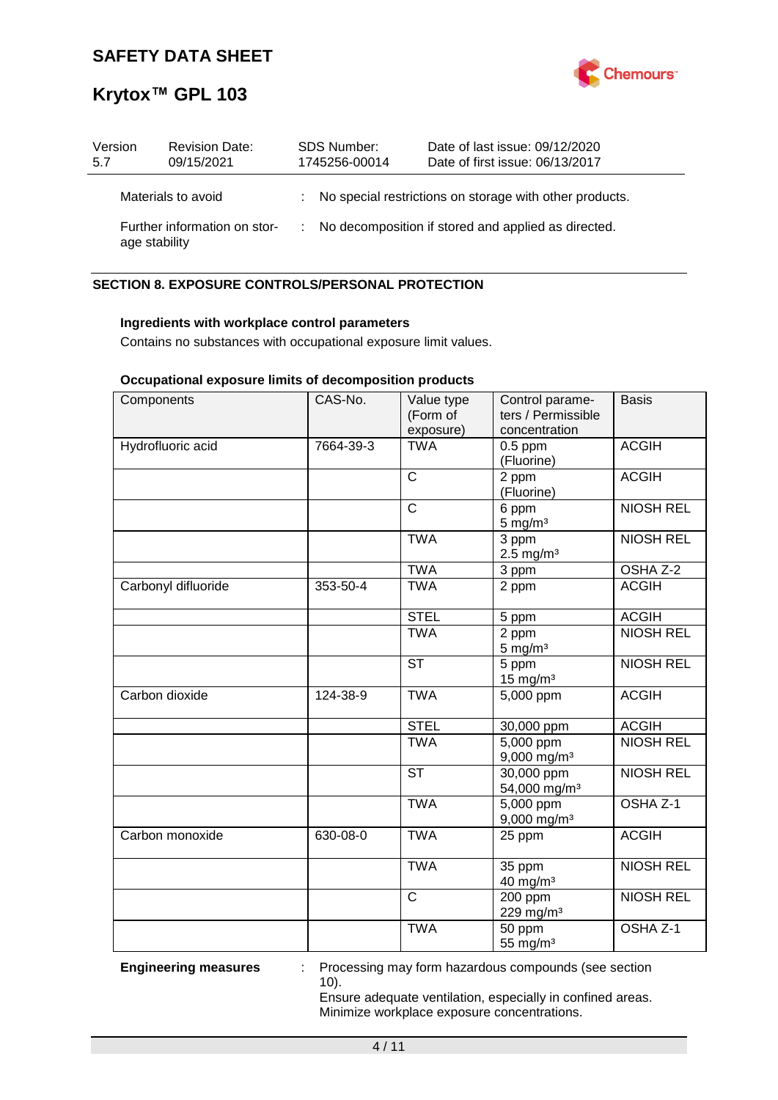

| Version<br>5.7                                | <b>Revision Date:</b><br>09/15/2021 | <b>SDS Number:</b><br>1745256-00014 |  | Date of last issue: 09/12/2020<br>Date of first issue: 06/13/2017 |
|-----------------------------------------------|-------------------------------------|-------------------------------------|--|-------------------------------------------------------------------|
|                                               | Materials to avoid                  |                                     |  | : No special restrictions on storage with other products.         |
| Further information on stor-<br>age stability |                                     |                                     |  | : No decomposition if stored and applied as directed.             |

## **SECTION 8. EXPOSURE CONTROLS/PERSONAL PROTECTION**

### **Ingredients with workplace control parameters**

Contains no substances with occupational exposure limit values.

## **Occupational exposure limits of decomposition products**

| Components          | CAS-No.   | Value type<br>(Form of<br>exposure) | Control parame-<br>ters / Permissible<br>concentration | <b>Basis</b>        |
|---------------------|-----------|-------------------------------------|--------------------------------------------------------|---------------------|
| Hydrofluoric acid   | 7664-39-3 | <b>TWA</b>                          | $0.5$ ppm<br>(Fluorine)                                | <b>ACGIH</b>        |
|                     |           | $\mathsf{C}$                        | 2 ppm<br>(Fluorine)                                    | <b>ACGIH</b>        |
|                     |           | $\mathsf{C}$                        | 6 ppm<br>$5$ mg/m <sup>3</sup>                         | <b>NIOSH REL</b>    |
|                     |           | <b>TWA</b>                          | 3 ppm<br>$2.5 \text{ mg/m}^3$                          | <b>NIOSH REL</b>    |
|                     |           | <b>TWA</b>                          | 3 ppm                                                  | OSHA Z-2            |
| Carbonyl difluoride | 353-50-4  | <b>TWA</b>                          | 2 ppm                                                  | <b>ACGIH</b>        |
|                     |           | <b>STEL</b>                         | 5 ppm                                                  | <b>ACGIH</b>        |
|                     |           | <b>TWA</b>                          | 2 ppm<br>$5 \text{ mg/m}^3$                            | <b>NIOSH REL</b>    |
|                     |           | <b>ST</b>                           | 5 ppm<br>$15$ mg/m <sup>3</sup>                        | <b>NIOSH REL</b>    |
| Carbon dioxide      | 124-38-9  | <b>TWA</b>                          | 5,000 ppm                                              | <b>ACGIH</b>        |
|                     |           | <b>STEL</b>                         | 30,000 ppm                                             | <b>ACGIH</b>        |
|                     |           | <b>TWA</b>                          | $\overline{5,000}$ ppm<br>9,000 mg/m <sup>3</sup>      | <b>NIOSH REL</b>    |
|                     |           | <b>ST</b>                           | 30,000 ppm<br>54,000 mg/m <sup>3</sup>                 | <b>NIOSH REL</b>    |
|                     |           | <b>TWA</b>                          | 5,000 ppm<br>$9,000$ mg/m <sup>3</sup>                 | OSHA <sub>Z-1</sub> |
| Carbon monoxide     | 630-08-0  | <b>TWA</b>                          | 25 ppm                                                 | <b>ACGIH</b>        |
|                     |           | <b>TWA</b>                          | 35 ppm<br>40 mg/m <sup>3</sup>                         | <b>NIOSH REL</b>    |
|                     |           | $\overline{\text{c}}$               | 200 ppm<br>229 mg/m <sup>3</sup>                       | <b>NIOSH REL</b>    |
|                     |           | <b>TWA</b>                          | 50 ppm<br>55 mg/m <sup>3</sup>                         | OSHA <sub>Z-1</sub> |

**Engineering measures** : Processing may form hazardous compounds (see section 10).

> Ensure adequate ventilation, especially in confined areas. Minimize workplace exposure concentrations.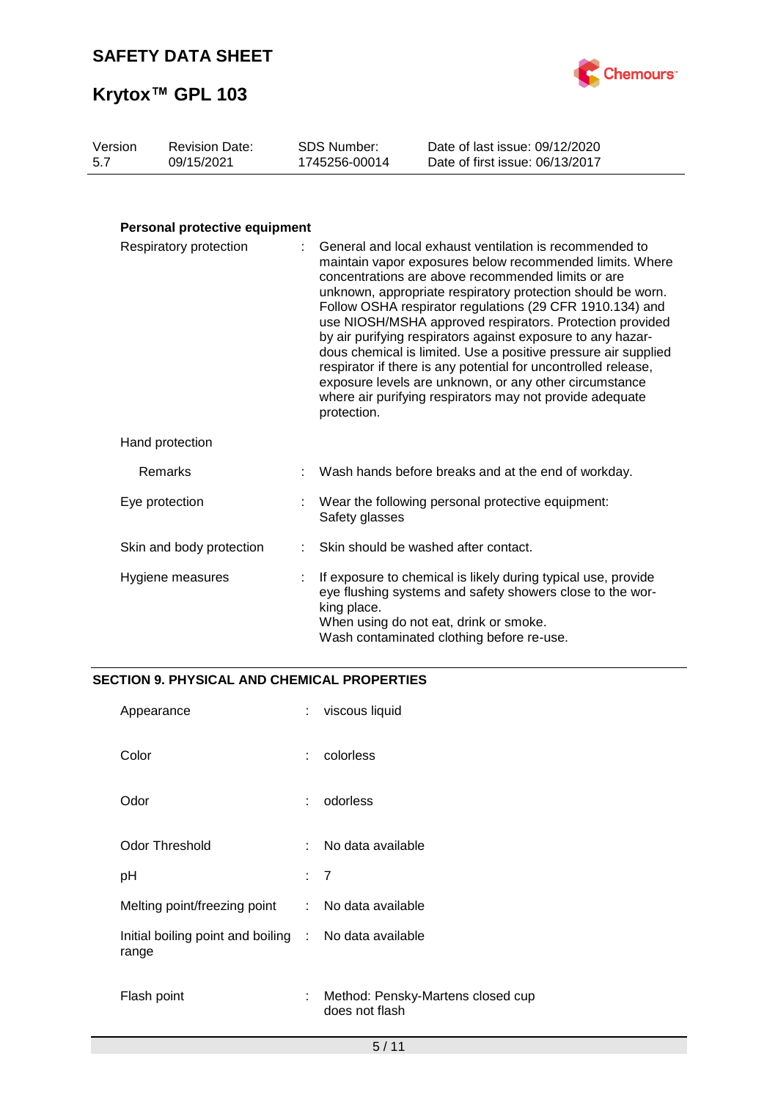

| Version | <b>Revision Date:</b> | SDS Number:   | Date of last issue: 09/12/2020  |
|---------|-----------------------|---------------|---------------------------------|
| 5.7     | 09/15/2021            | 1745256-00014 | Date of first issue: 06/13/2017 |
|         |                       |               |                                 |

## **Personal protective equipment**

| Respiratory protection   |  | General and local exhaust ventilation is recommended to<br>maintain vapor exposures below recommended limits. Where<br>concentrations are above recommended limits or are<br>unknown, appropriate respiratory protection should be worn.<br>Follow OSHA respirator regulations (29 CFR 1910.134) and<br>use NIOSH/MSHA approved respirators. Protection provided<br>by air purifying respirators against exposure to any hazar-<br>dous chemical is limited. Use a positive pressure air supplied<br>respirator if there is any potential for uncontrolled release,<br>exposure levels are unknown, or any other circumstance<br>where air purifying respirators may not provide adequate<br>protection. |  |
|--------------------------|--|----------------------------------------------------------------------------------------------------------------------------------------------------------------------------------------------------------------------------------------------------------------------------------------------------------------------------------------------------------------------------------------------------------------------------------------------------------------------------------------------------------------------------------------------------------------------------------------------------------------------------------------------------------------------------------------------------------|--|
| Hand protection          |  |                                                                                                                                                                                                                                                                                                                                                                                                                                                                                                                                                                                                                                                                                                          |  |
| Remarks                  |  | Wash hands before breaks and at the end of workday.                                                                                                                                                                                                                                                                                                                                                                                                                                                                                                                                                                                                                                                      |  |
| Eye protection           |  | Wear the following personal protective equipment:<br>Safety glasses                                                                                                                                                                                                                                                                                                                                                                                                                                                                                                                                                                                                                                      |  |
| Skin and body protection |  | Skin should be washed after contact.                                                                                                                                                                                                                                                                                                                                                                                                                                                                                                                                                                                                                                                                     |  |
| Hygiene measures         |  | If exposure to chemical is likely during typical use, provide<br>eye flushing systems and safety showers close to the wor-<br>king place.<br>When using do not eat, drink or smoke.<br>Wash contaminated clothing before re-use.                                                                                                                                                                                                                                                                                                                                                                                                                                                                         |  |

## **SECTION 9. PHYSICAL AND CHEMICAL PROPERTIES**

| Appearance                                                     | ÷                         | viscous liquid                                      |
|----------------------------------------------------------------|---------------------------|-----------------------------------------------------|
| Color                                                          | ÷                         | colorless                                           |
| Odor                                                           | ÷                         | odorless                                            |
| <b>Odor Threshold</b>                                          | ٠.                        | No data available                                   |
| рH                                                             | : 7                       |                                                     |
| Melting point/freezing point                                   | $\mathbb{R}^{\mathbb{Z}}$ | No data available                                   |
| Initial boiling point and boiling : No data available<br>range |                           |                                                     |
| Flash point                                                    | t.                        | Method: Pensky-Martens closed cup<br>does not flash |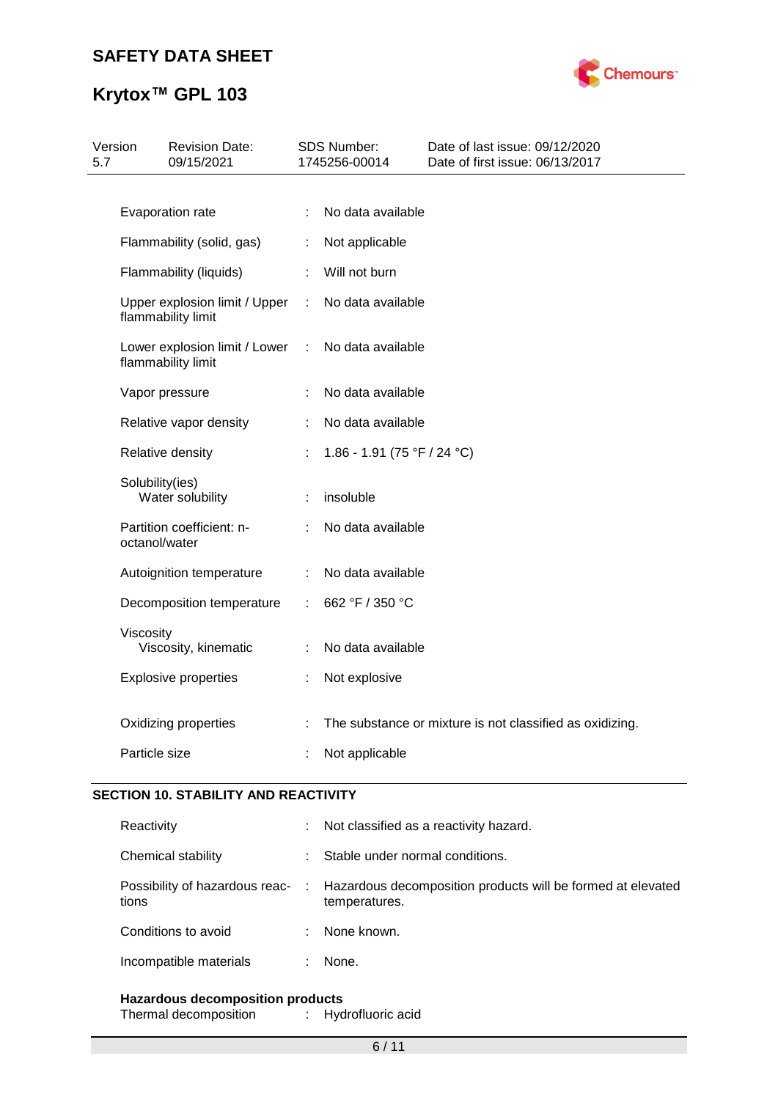# **Krytox™ GPL 103**



| 5.7 | Version         | <b>Revision Date:</b><br>09/15/2021                 |                | SDS Number:<br>1745256-00014 | Date of last issue: 09/12/2020<br>Date of first issue: 06/13/2017 |
|-----|-----------------|-----------------------------------------------------|----------------|------------------------------|-------------------------------------------------------------------|
|     |                 |                                                     |                |                              |                                                                   |
|     |                 | Evaporation rate                                    | ÷.             | No data available            |                                                                   |
|     |                 | Flammability (solid, gas)                           | ÷.             | Not applicable               |                                                                   |
|     |                 | Flammability (liquids)                              |                | Will not burn                |                                                                   |
|     |                 | Upper explosion limit / Upper<br>flammability limit | $\mathbb{R}^n$ | No data available            |                                                                   |
|     |                 | Lower explosion limit / Lower<br>flammability limit | ÷              | No data available            |                                                                   |
|     |                 | Vapor pressure                                      |                | No data available            |                                                                   |
|     |                 | Relative vapor density                              |                | No data available            |                                                                   |
|     |                 | Relative density                                    | ÷.             | 1.86 - 1.91 (75 °F / 24 °C)  |                                                                   |
|     | Solubility(ies) | Water solubility                                    | ÷              | insoluble                    |                                                                   |
|     | octanol/water   | Partition coefficient: n-                           |                | No data available            |                                                                   |
|     |                 | Autoignition temperature                            |                | No data available            |                                                                   |
|     |                 | Decomposition temperature                           | ÷.             | 662 °F / 350 °C              |                                                                   |
|     | Viscosity       | Viscosity, kinematic                                | ÷              | No data available            |                                                                   |
|     |                 | <b>Explosive properties</b>                         | ÷              | Not explosive                |                                                                   |
|     |                 | Oxidizing properties                                |                |                              | The substance or mixture is not classified as oxidizing.          |
|     | Particle size   |                                                     |                | Not applicable               |                                                                   |

## **SECTION 10. STABILITY AND REACTIVITY**

| Reactivity             | ÷ | Not classified as a reactivity hazard.                                                                        |
|------------------------|---|---------------------------------------------------------------------------------------------------------------|
| Chemical stability     |   | Stable under normal conditions.                                                                               |
| tions                  |   | Possibility of hazardous reac- : Hazardous decomposition products will be formed at elevated<br>temperatures. |
| Conditions to avoid    |   | None known.                                                                                                   |
| Incompatible materials |   | None.                                                                                                         |
|                        |   |                                                                                                               |

**Hazardous decomposition products** Thermal decomposition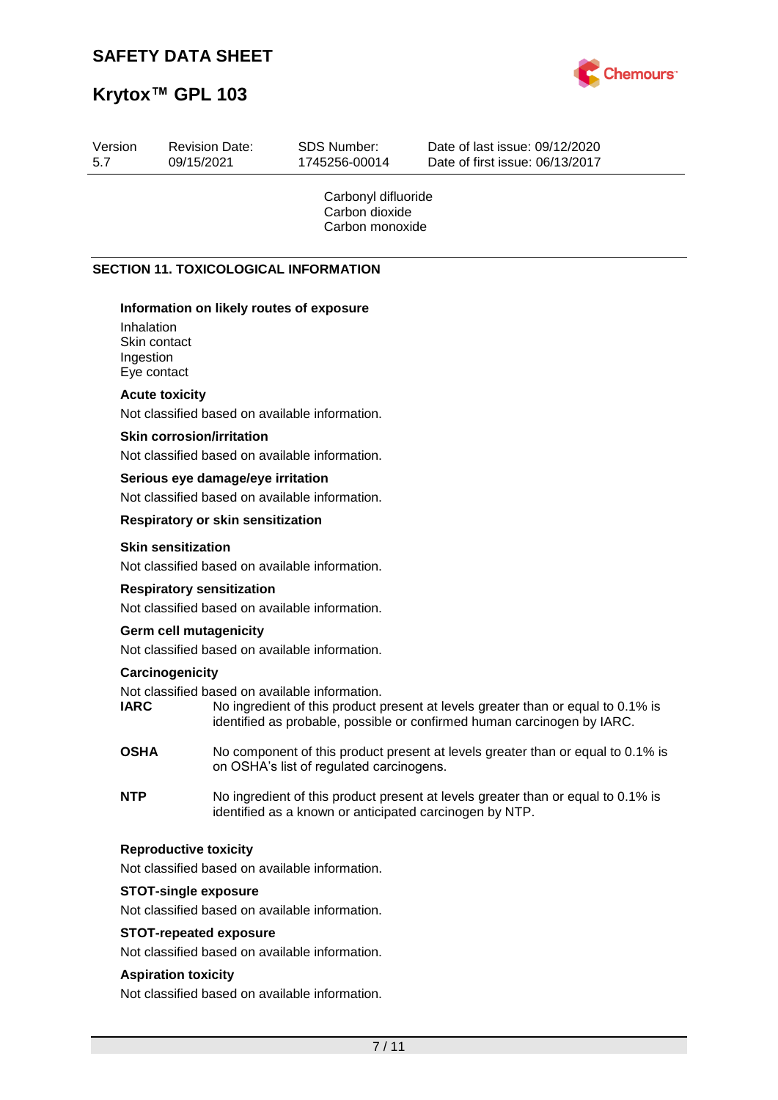

# **Krytox™ GPL 103**

| Version<br>5.7          | <b>Revision Date:</b><br>09/15/2021                                                | <b>SDS Number:</b><br>1745256-00014                      | Date of last issue: 09/12/2020<br>Date of first issue: 06/13/2017                                                                                           |
|-------------------------|------------------------------------------------------------------------------------|----------------------------------------------------------|-------------------------------------------------------------------------------------------------------------------------------------------------------------|
|                         |                                                                                    | Carbonyl difluoride<br>Carbon dioxide<br>Carbon monoxide |                                                                                                                                                             |
|                         | <b>SECTION 11. TOXICOLOGICAL INFORMATION</b>                                       |                                                          |                                                                                                                                                             |
| Inhalation<br>Ingestion | Information on likely routes of exposure<br>Skin contact<br>Eye contact            |                                                          |                                                                                                                                                             |
|                         | <b>Acute toxicity</b>                                                              |                                                          |                                                                                                                                                             |
|                         | Not classified based on available information.                                     |                                                          |                                                                                                                                                             |
|                         | <b>Skin corrosion/irritation</b><br>Not classified based on available information. |                                                          |                                                                                                                                                             |
|                         | Serious eye damage/eye irritation                                                  |                                                          |                                                                                                                                                             |
|                         | Not classified based on available information.                                     |                                                          |                                                                                                                                                             |
|                         | <b>Respiratory or skin sensitization</b>                                           |                                                          |                                                                                                                                                             |
|                         | <b>Skin sensitization</b><br>Not classified based on available information.        |                                                          |                                                                                                                                                             |
|                         | <b>Respiratory sensitization</b><br>Not classified based on available information. |                                                          |                                                                                                                                                             |
|                         | <b>Germ cell mutagenicity</b><br>Not classified based on available information.    |                                                          |                                                                                                                                                             |
| <b>IARC</b>             | Carcinogenicity<br>Not classified based on available information.                  |                                                          | No ingredient of this product present at levels greater than or equal to 0.1% is<br>identified as probable, possible or confirmed human carcinogen by IARC. |
| <b>OSHA</b>             |                                                                                    | on OSHA's list of regulated carcinogens.                 | No component of this product present at levels greater than or equal to 0.1% is                                                                             |
| <b>NTP</b>              |                                                                                    | identified as a known or anticipated carcinogen by NTP.  | No ingredient of this product present at levels greater than or equal to 0.1% is                                                                            |
|                         | <b>Reproductive toxicity</b><br>Not classified based on available information.     |                                                          |                                                                                                                                                             |
|                         | <b>STOT-single exposure</b>                                                        |                                                          |                                                                                                                                                             |
|                         | Not classified based on available information.                                     |                                                          |                                                                                                                                                             |
|                         | <b>STOT-repeated exposure</b><br>Not classified based on available information.    |                                                          |                                                                                                                                                             |
|                         | <b>Aspiration toxicity</b><br>Not classified based on available information.       |                                                          |                                                                                                                                                             |
|                         |                                                                                    |                                                          |                                                                                                                                                             |
|                         |                                                                                    | 7/11                                                     |                                                                                                                                                             |
|                         |                                                                                    |                                                          |                                                                                                                                                             |
|                         |                                                                                    |                                                          |                                                                                                                                                             |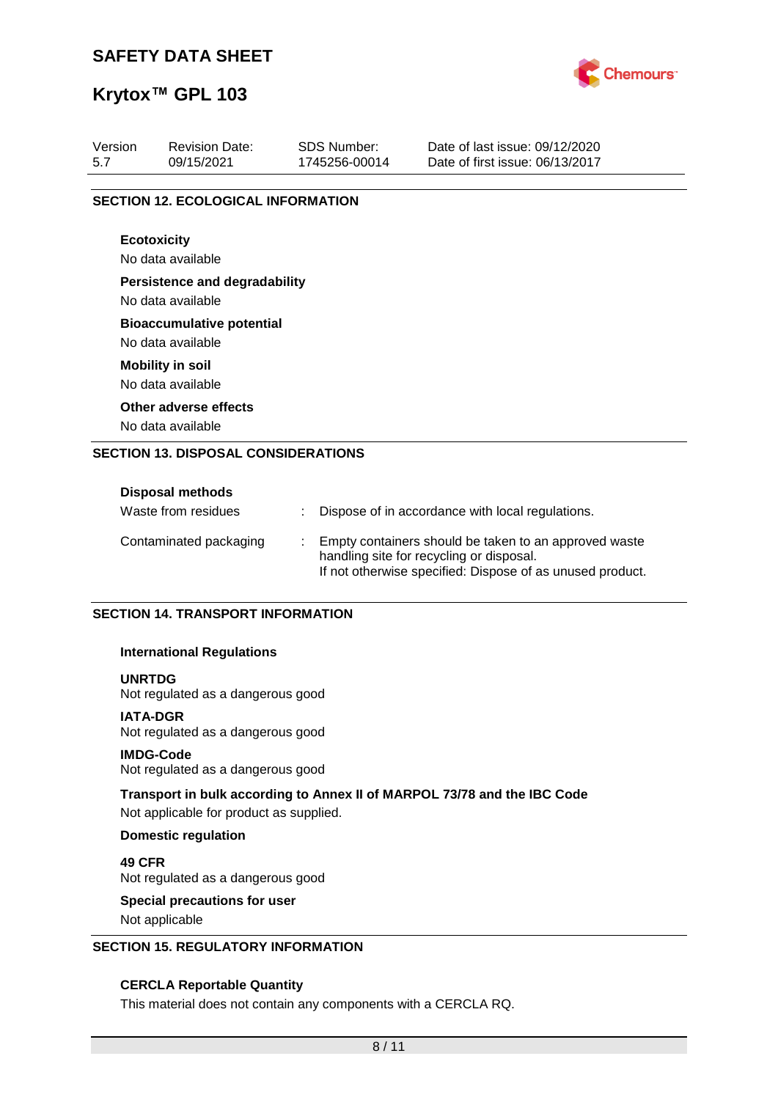

## **Krytox™ GPL 103**

| Version<br>5.7                             | <b>Revision Date:</b><br>09/15/2021       | <b>SDS Number:</b><br>1745256-00014 | Date of last issue: 09/12/2020<br>Date of first issue: 06/13/2017 |  |  |  |  |  |  |  |  |
|--------------------------------------------|-------------------------------------------|-------------------------------------|-------------------------------------------------------------------|--|--|--|--|--|--|--|--|
|                                            |                                           |                                     |                                                                   |  |  |  |  |  |  |  |  |
|                                            | <b>SECTION 12. ECOLOGICAL INFORMATION</b> |                                     |                                                                   |  |  |  |  |  |  |  |  |
|                                            |                                           |                                     |                                                                   |  |  |  |  |  |  |  |  |
|                                            | <b>Ecotoxicity</b>                        |                                     |                                                                   |  |  |  |  |  |  |  |  |
|                                            | No data available                         |                                     |                                                                   |  |  |  |  |  |  |  |  |
|                                            | <b>Persistence and degradability</b>      |                                     |                                                                   |  |  |  |  |  |  |  |  |
|                                            | No data available                         |                                     |                                                                   |  |  |  |  |  |  |  |  |
|                                            | <b>Bioaccumulative potential</b>          |                                     |                                                                   |  |  |  |  |  |  |  |  |
|                                            | No data available                         |                                     |                                                                   |  |  |  |  |  |  |  |  |
|                                            | <b>Mobility in soil</b>                   |                                     |                                                                   |  |  |  |  |  |  |  |  |
|                                            | No data available                         |                                     |                                                                   |  |  |  |  |  |  |  |  |
|                                            | Other adverse effects                     |                                     |                                                                   |  |  |  |  |  |  |  |  |
| No data available                          |                                           |                                     |                                                                   |  |  |  |  |  |  |  |  |
| <b>SECTION 13. DISPOSAL CONSIDERATIONS</b> |                                           |                                     |                                                                   |  |  |  |  |  |  |  |  |
|                                            |                                           |                                     |                                                                   |  |  |  |  |  |  |  |  |
|                                            | Disposal methods                          |                                     |                                                                   |  |  |  |  |  |  |  |  |

| Waste from residues    |  | Dispose of in accordance with local regulations.                                                                                                               |
|------------------------|--|----------------------------------------------------------------------------------------------------------------------------------------------------------------|
| Contaminated packaging |  | Empty containers should be taken to an approved waste<br>handling site for recycling or disposal.<br>If not otherwise specified: Dispose of as unused product. |

### **SECTION 14. TRANSPORT INFORMATION**

### **International Regulations**

### **UNRTDG**

Not regulated as a dangerous good

### **IATA-DGR**

Not regulated as a dangerous good

### **IMDG-Code**

Not regulated as a dangerous good

### **Transport in bulk according to Annex II of MARPOL 73/78 and the IBC Code**

Not applicable for product as supplied.

### **Domestic regulation**

**49 CFR** Not regulated as a dangerous good

# **Special precautions for user**

Not applicable

### **SECTION 15. REGULATORY INFORMATION**

### **CERCLA Reportable Quantity**

This material does not contain any components with a CERCLA RQ.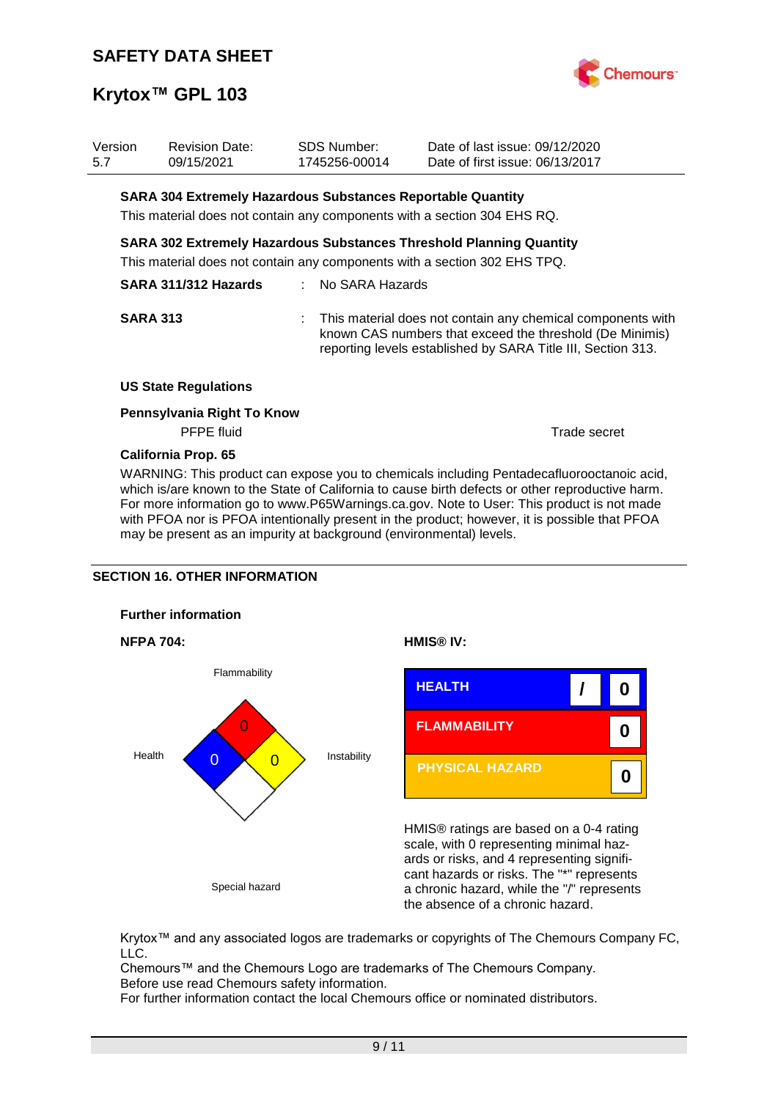

| Version<br>5.7       |  | <b>Revision Date:</b><br>09/15/2021                                                                                                                     |                                                                                                                                                                                           | <b>SDS Number:</b><br>1745256-00014 | Date of last issue: 09/12/2020<br>Date of first issue: 06/13/2017        |              |  |
|----------------------|--|---------------------------------------------------------------------------------------------------------------------------------------------------------|-------------------------------------------------------------------------------------------------------------------------------------------------------------------------------------------|-------------------------------------|--------------------------------------------------------------------------|--------------|--|
|                      |  | <b>SARA 304 Extremely Hazardous Substances Reportable Quantity</b>                                                                                      |                                                                                                                                                                                           |                                     |                                                                          |              |  |
|                      |  |                                                                                                                                                         |                                                                                                                                                                                           |                                     | This material does not contain any components with a section 304 EHS RQ. |              |  |
|                      |  | <b>SARA 302 Extremely Hazardous Substances Threshold Planning Quantity</b><br>This material does not contain any components with a section 302 EHS TPQ. |                                                                                                                                                                                           |                                     |                                                                          |              |  |
| SARA 311/312 Hazards |  | : No SARA Hazards                                                                                                                                       |                                                                                                                                                                                           |                                     |                                                                          |              |  |
| <b>SARA 313</b>      |  |                                                                                                                                                         | : This material does not contain any chemical components with<br>known CAS numbers that exceed the threshold (De Minimis)<br>reporting levels established by SARA Title III, Section 313. |                                     |                                                                          |              |  |
|                      |  | <b>US State Regulations</b>                                                                                                                             |                                                                                                                                                                                           |                                     |                                                                          |              |  |
|                      |  | Pennsylvania Right To Know<br><b>PFPE</b> fluid                                                                                                         |                                                                                                                                                                                           |                                     |                                                                          | Trade secret |  |
|                      |  | <b>California Prop. 65</b>                                                                                                                              |                                                                                                                                                                                           |                                     |                                                                          |              |  |

WARNING: This product can expose you to chemicals including Pentadecafluorooctanoic acid, which is/are known to the State of California to cause birth defects or other reproductive harm. For more information go to www.P65Warnings.ca.gov. Note to User: This product is not made with PFOA nor is PFOA intentionally present in the product; however, it is possible that PFOA may be present as an impurity at background (environmental) levels.

## **SECTION 16. OTHER INFORMATION**









HMIS® ratings are based on a 0-4 rating scale, with 0 representing minimal hazards or risks, and 4 representing significant hazards or risks. The "\*" represents a chronic hazard, while the "/" represents the absence of a chronic hazard.

Krytox™ and any associated logos are trademarks or copyrights of The Chemours Company FC, LLC.

Chemours™ and the Chemours Logo are trademarks of The Chemours Company. Before use read Chemours safety information.

For further information contact the local Chemours office or nominated distributors.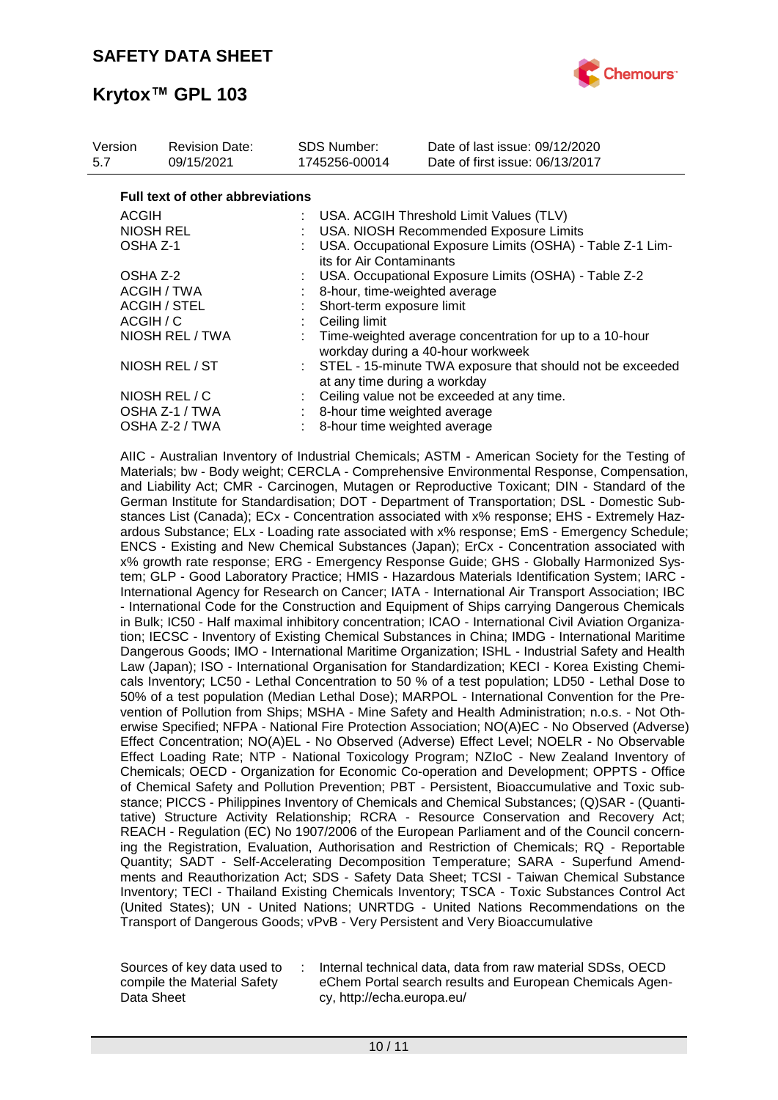

| Version<br>5.7  | <b>Revision Date:</b><br>09/15/2021     | SDS Number:<br>1745256-00014 | Date of last issue: 09/12/2020<br>Date of first issue: 06/13/2017                            |  |  |  |  |
|-----------------|-----------------------------------------|------------------------------|----------------------------------------------------------------------------------------------|--|--|--|--|
|                 | <b>Full text of other abbreviations</b> |                              |                                                                                              |  |  |  |  |
| <b>ACGIH</b>    |                                         |                              | : USA. ACGIH Threshold Limit Values (TLV)                                                    |  |  |  |  |
|                 | <b>NIOSH REL</b>                        |                              | USA. NIOSH Recommended Exposure Limits                                                       |  |  |  |  |
|                 | OSHA Z-1                                |                              | USA. Occupational Exposure Limits (OSHA) - Table Z-1 Lim-<br>its for Air Contaminants        |  |  |  |  |
|                 | OSHA Z-2                                |                              | USA. Occupational Exposure Limits (OSHA) - Table Z-2                                         |  |  |  |  |
|                 | ACGIH / TWA                             |                              | 8-hour, time-weighted average                                                                |  |  |  |  |
|                 | <b>ACGIH / STEL</b>                     |                              | Short-term exposure limit                                                                    |  |  |  |  |
|                 | ACGIH / C                               |                              | Ceiling limit                                                                                |  |  |  |  |
| NIOSH REL / TWA |                                         |                              | Time-weighted average concentration for up to a 10-hour<br>workday during a 40-hour workweek |  |  |  |  |
| NIOSH REL / ST  |                                         |                              | STEL - 15-minute TWA exposure that should not be exceeded<br>at any time during a workday    |  |  |  |  |
| NIOSH REL / C   |                                         |                              | Ceiling value not be exceeded at any time.                                                   |  |  |  |  |
| OSHA Z-1 / TWA  |                                         |                              | : 8-hour time weighted average                                                               |  |  |  |  |
| OSHA Z-2 / TWA  |                                         |                              | 8-hour time weighted average                                                                 |  |  |  |  |

AIIC - Australian Inventory of Industrial Chemicals; ASTM - American Society for the Testing of Materials; bw - Body weight; CERCLA - Comprehensive Environmental Response, Compensation, and Liability Act; CMR - Carcinogen, Mutagen or Reproductive Toxicant; DIN - Standard of the German Institute for Standardisation; DOT - Department of Transportation; DSL - Domestic Substances List (Canada); ECx - Concentration associated with x% response; EHS - Extremely Hazardous Substance; ELx - Loading rate associated with x% response; EmS - Emergency Schedule; ENCS - Existing and New Chemical Substances (Japan); ErCx - Concentration associated with x% growth rate response; ERG - Emergency Response Guide; GHS - Globally Harmonized System; GLP - Good Laboratory Practice; HMIS - Hazardous Materials Identification System; IARC - International Agency for Research on Cancer; IATA - International Air Transport Association; IBC - International Code for the Construction and Equipment of Ships carrying Dangerous Chemicals in Bulk; IC50 - Half maximal inhibitory concentration; ICAO - International Civil Aviation Organization; IECSC - Inventory of Existing Chemical Substances in China; IMDG - International Maritime Dangerous Goods; IMO - International Maritime Organization; ISHL - Industrial Safety and Health Law (Japan); ISO - International Organisation for Standardization; KECI - Korea Existing Chemicals Inventory; LC50 - Lethal Concentration to 50 % of a test population; LD50 - Lethal Dose to 50% of a test population (Median Lethal Dose); MARPOL - International Convention for the Prevention of Pollution from Ships; MSHA - Mine Safety and Health Administration; n.o.s. - Not Otherwise Specified; NFPA - National Fire Protection Association; NO(A)EC - No Observed (Adverse) Effect Concentration; NO(A)EL - No Observed (Adverse) Effect Level; NOELR - No Observable Effect Loading Rate; NTP - National Toxicology Program; NZIoC - New Zealand Inventory of Chemicals; OECD - Organization for Economic Co-operation and Development; OPPTS - Office of Chemical Safety and Pollution Prevention; PBT - Persistent, Bioaccumulative and Toxic substance; PICCS - Philippines Inventory of Chemicals and Chemical Substances; (Q)SAR - (Quantitative) Structure Activity Relationship; RCRA - Resource Conservation and Recovery Act; REACH - Regulation (EC) No 1907/2006 of the European Parliament and of the Council concerning the Registration, Evaluation, Authorisation and Restriction of Chemicals; RQ - Reportable Quantity; SADT - Self-Accelerating Decomposition Temperature; SARA - Superfund Amendments and Reauthorization Act; SDS - Safety Data Sheet; TCSI - Taiwan Chemical Substance Inventory; TECI - Thailand Existing Chemicals Inventory; TSCA - Toxic Substances Control Act (United States); UN - United Nations; UNRTDG - United Nations Recommendations on the Transport of Dangerous Goods; vPvB - Very Persistent and Very Bioaccumulative

Sources of key data used to compile the Material Safety Data Sheet

: Internal technical data, data from raw material SDSs, OECD eChem Portal search results and European Chemicals Agency, http://echa.europa.eu/